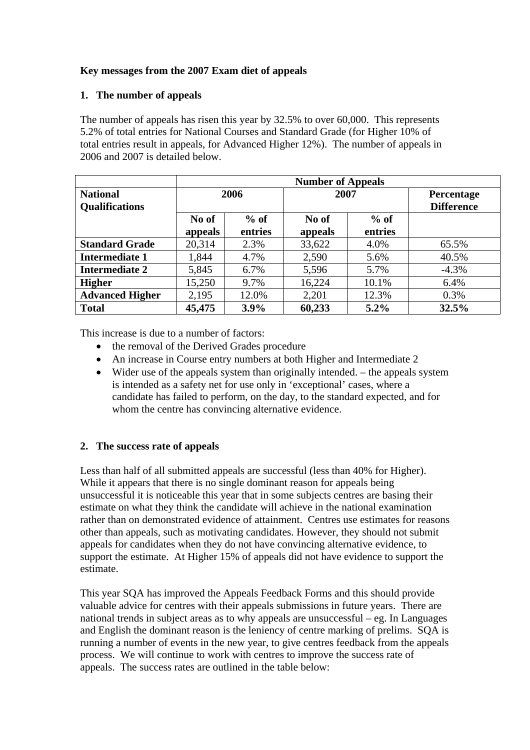# **Key messages from the 2007 Exam diet of appeals**

#### **1. The number of appeals**

The number of appeals has risen this year by 32.5% to over 60,000. This represents 5.2% of total entries for National Courses and Standard Grade (for Higher 10% of total entries result in appeals, for Advanced Higher 12%). The number of appeals in 2006 and 2007 is detailed below.

|                        | <b>Number of Appeals</b> |         |         |         |                   |
|------------------------|--------------------------|---------|---------|---------|-------------------|
| <b>National</b>        | 2006                     |         | 2007    |         | <b>Percentage</b> |
| <b>Qualifications</b>  |                          |         |         |         | <b>Difference</b> |
|                        | No of                    | $%$ of  | No of   | $%$ of  |                   |
|                        | appeals                  | entries | appeals | entries |                   |
| <b>Standard Grade</b>  | 20,314                   | 2.3%    | 33,622  | 4.0%    | 65.5%             |
| <b>Intermediate 1</b>  | 1,844                    | 4.7%    | 2,590   | 5.6%    | 40.5%             |
| <b>Intermediate 2</b>  | 5,845                    | 6.7%    | 5,596   | 5.7%    | $-4.3%$           |
| <b>Higher</b>          | 15,250                   | 9.7%    | 16,224  | 10.1%   | 6.4%              |
| <b>Advanced Higher</b> | 2,195                    | 12.0%   | 2,201   | 12.3%   | 0.3%              |
| <b>Total</b>           | 45,475                   | 3.9%    | 60,233  | $5.2\%$ | 32.5%             |

This increase is due to a number of factors:

- the removal of the Derived Grades procedure
- An increase in Course entry numbers at both Higher and Intermediate 2
- Wider use of the appeals system than originally intended. the appeals system is intended as a safety net for use only in 'exceptional' cases, where a candidate has failed to perform, on the day, to the standard expected, and for whom the centre has convincing alternative evidence.

## **2. The success rate of appeals**

Less than half of all submitted appeals are successful (less than 40% for Higher). While it appears that there is no single dominant reason for appeals being unsuccessful it is noticeable this year that in some subjects centres are basing their estimate on what they think the candidate will achieve in the national examination rather than on demonstrated evidence of attainment. Centres use estimates for reasons other than appeals, such as motivating candidates. However, they should not submit appeals for candidates when they do not have convincing alternative evidence, to support the estimate. At Higher 15% of appeals did not have evidence to support the estimate.

This year SQA has improved the Appeals Feedback Forms and this should provide valuable advice for centres with their appeals submissions in future years. There are national trends in subject areas as to why appeals are unsuccessful – eg. In Languages and English the dominant reason is the leniency of centre marking of prelims. SQA is running a number of events in the new year, to give centres feedback from the appeals process. We will continue to work with centres to improve the success rate of appeals. The success rates are outlined in the table below: